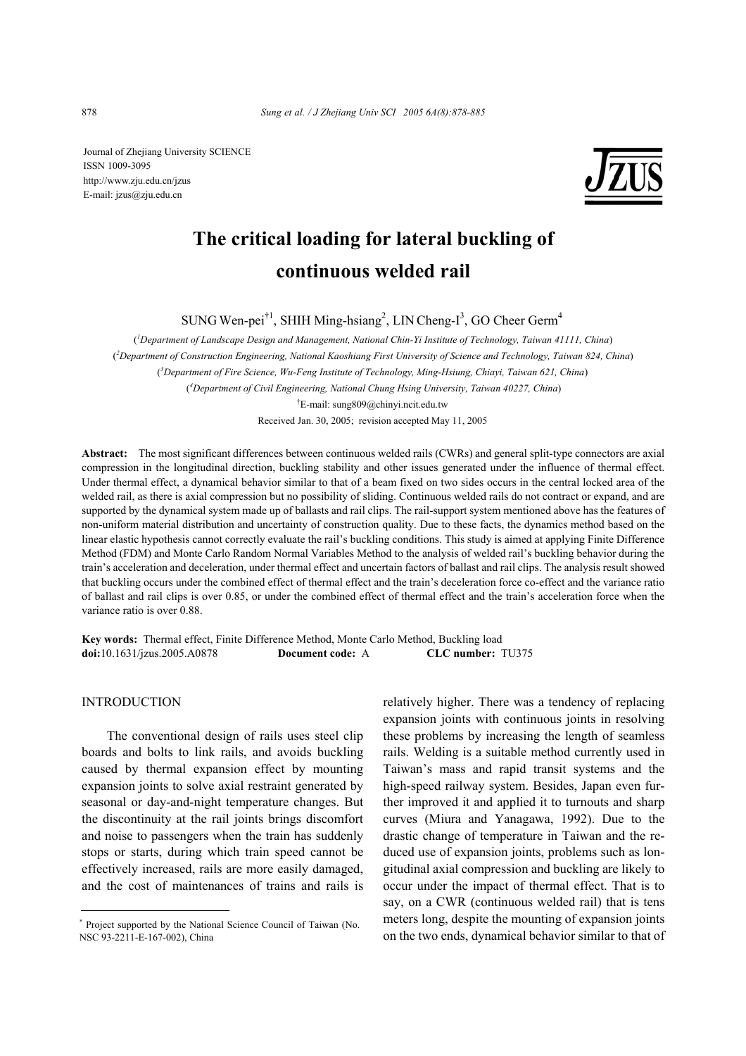Journal of Zhejiang University SCIENCE ISSN 1009-3095 http://www.zju.edu.cn/jzus E-mail: jzus@zju.edu.cn



# **The critical loading for lateral buckling of continuous welded rail**

SUNG Wen-pei<sup>†1</sup>, SHIH Ming-hsiang<sup>2</sup>, LIN Cheng-I<sup>3</sup>, GO Cheer Germ<sup>4</sup>

( *1 Department of Landscape Design and Management, National Chin-Yi Institute of Technology, Taiwan 41111, China*) ( *2 Department of Construction Engineering, National Kaoshiang First University of Science and Technology, Taiwan 824, China*) ( *3 Department of Fire Science, Wu-Feng Institute of Technology, Ming-Hsiung, Chiayi, Taiwan 621, China*) ( *4 Department of Civil Engineering, National Chung Hsing University, Taiwan 40227, China*) † E-mail: sung809@chinyi.ncit.edu.tw

Received Jan. 30, 2005; revision accepted May 11, 2005

**Abstract:** The most significant differences between continuous welded rails (CWRs) and general split-type connectors are axial compression in the longitudinal direction, buckling stability and other issues generated under the influence of thermal effect. Under thermal effect, a dynamical behavior similar to that of a beam fixed on two sides occurs in the central locked area of the welded rail, as there is axial compression but no possibility of sliding. Continuous welded rails do not contract or expand, and are supported by the dynamical system made up of ballasts and rail clips. The rail-support system mentioned above has the features of non-uniform material distribution and uncertainty of construction quality. Due to these facts, the dynamics method based on the linear elastic hypothesis cannot correctly evaluate the rail's buckling conditions. This study is aimed at applying Finite Difference Method (FDM) and Monte Carlo Random Normal Variables Method to the analysis of welded rail's buckling behavior during the train's acceleration and deceleration, under thermal effect and uncertain factors of ballast and rail clips. The analysis result showed that buckling occurs under the combined effect of thermal effect and the train's deceleration force co-effect and the variance ratio of ballast and rail clips is over 0.85, or under the combined effect of thermal effect and the train's acceleration force when the variance ratio is over 0.88.

**Key words:** Thermal effect, Finite Difference Method, Monte Carlo Method, Buckling load **doi:**10.1631/jzus.2005.A0878 **Document code:** A **CLC number:** TU375

# INTRODUCTION

The conventional design of rails uses steel clip boards and bolts to link rails, and avoids buckling caused by thermal expansion effect by mounting expansion joints to solve axial restraint generated by seasonal or day-and-night temperature changes. But the discontinuity at the rail joints brings discomfort and noise to passengers when the train has suddenly stops or starts, during which train speed cannot be effectively increased, rails are more easily damaged, and the cost of maintenances of trains and rails is

relatively higher. There was a tendency of replacing expansion joints with continuous joints in resolving these problems by increasing the length of seamless rails. Welding is a suitable method currently used in Taiwan's mass and rapid transit systems and the high-speed railway system. Besides, Japan even further improved it and applied it to turnouts and sharp curves (Miura and Yanagawa, 1992). Due to the drastic change of temperature in Taiwan and the reduced use of expansion joints, problems such as longitudinal axial compression and buckling are likely to occur under the impact of thermal effect. That is to say, on a CWR (continuous welded rail) that is tens meters long, despite the mounting of expansion joints on the two ends, dynamical behavior similar to that of

<sup>\*</sup> Project supported by the National Science Council of Taiwan (No. NSC 93-2211-E-167-002), China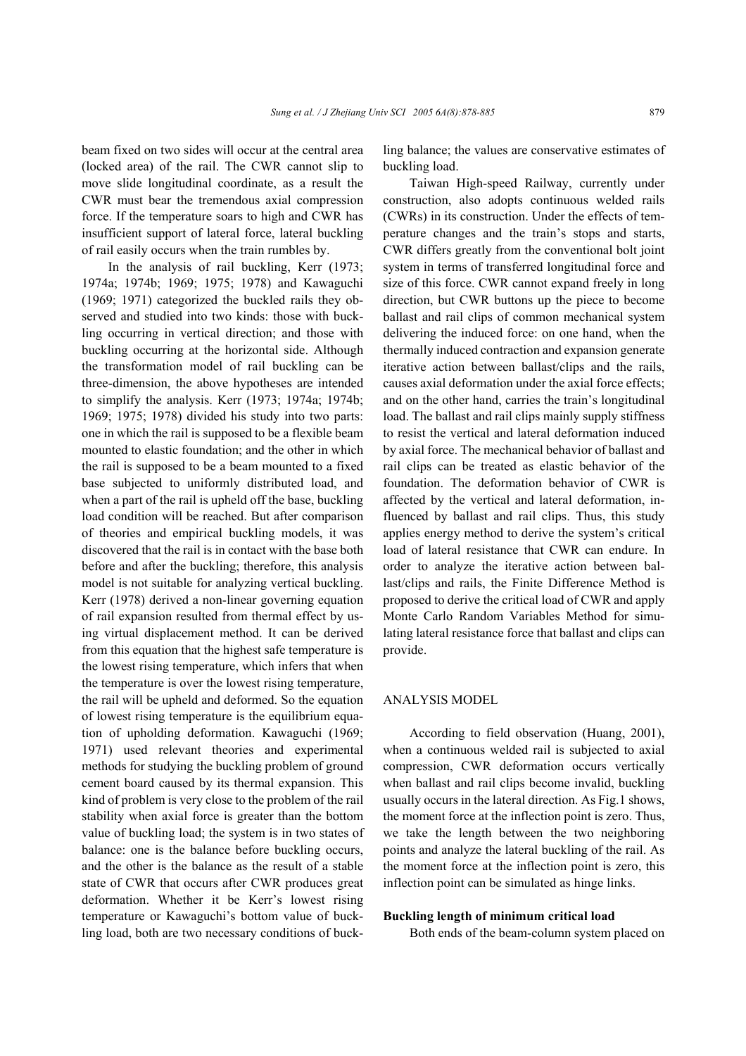beam fixed on two sides will occur at the central area (locked area) of the rail. The CWR cannot slip to move slide longitudinal coordinate, as a result the CWR must bear the tremendous axial compression force. If the temperature soars to high and CWR has insufficient support of lateral force, lateral buckling of rail easily occurs when the train rumbles by.

In the analysis of rail buckling, Kerr (1973; 1974a; 1974b; 1969; 1975; 1978) and Kawaguchi (1969; 1971) categorized the buckled rails they observed and studied into two kinds: those with buckling occurring in vertical direction; and those with buckling occurring at the horizontal side. Although the transformation model of rail buckling can be three-dimension, the above hypotheses are intended to simplify the analysis. Kerr (1973; 1974a; 1974b; 1969; 1975; 1978) divided his study into two parts: one in which the rail is supposed to be a flexible beam mounted to elastic foundation; and the other in which the rail is supposed to be a beam mounted to a fixed base subjected to uniformly distributed load, and when a part of the rail is upheld off the base, buckling load condition will be reached. But after comparison of theories and empirical buckling models, it was discovered that the rail is in contact with the base both before and after the buckling; therefore, this analysis model is not suitable for analyzing vertical buckling. Kerr (1978) derived a non-linear governing equation of rail expansion resulted from thermal effect by using virtual displacement method. It can be derived from this equation that the highest safe temperature is the lowest rising temperature, which infers that when the temperature is over the lowest rising temperature, the rail will be upheld and deformed. So the equation of lowest rising temperature is the equilibrium equation of upholding deformation. Kawaguchi (1969; 1971) used relevant theories and experimental methods for studying the buckling problem of ground cement board caused by its thermal expansion. This kind of problem is very close to the problem of the rail stability when axial force is greater than the bottom value of buckling load; the system is in two states of balance: one is the balance before buckling occurs, and the other is the balance as the result of a stable state of CWR that occurs after CWR produces great deformation. Whether it be Kerr's lowest rising temperature or Kawaguchi's bottom value of buckling load, both are two necessary conditions of buckling balance; the values are conservative estimates of buckling load.

Taiwan High-speed Railway, currently under construction, also adopts continuous welded rails (CWRs) in its construction. Under the effects of temperature changes and the train's stops and starts, CWR differs greatly from the conventional bolt joint system in terms of transferred longitudinal force and size of this force. CWR cannot expand freely in long direction, but CWR buttons up the piece to become ballast and rail clips of common mechanical system delivering the induced force: on one hand, when the thermally induced contraction and expansion generate iterative action between ballast/clips and the rails, causes axial deformation under the axial force effects; and on the other hand, carries the train's longitudinal load. The ballast and rail clips mainly supply stiffness to resist the vertical and lateral deformation induced by axial force. The mechanical behavior of ballast and rail clips can be treated as elastic behavior of the foundation. The deformation behavior of CWR is affected by the vertical and lateral deformation, influenced by ballast and rail clips. Thus, this study applies energy method to derive the system's critical load of lateral resistance that CWR can endure. In order to analyze the iterative action between ballast/clips and rails, the Finite Difference Method is proposed to derive the critical load of CWR and apply Monte Carlo Random Variables Method for simulating lateral resistance force that ballast and clips can provide.

#### ANALYSIS MODEL

According to field observation (Huang, 2001), when a continuous welded rail is subjected to axial compression, CWR deformation occurs vertically when ballast and rail clips become invalid, buckling usually occurs in the lateral direction. As Fig.1 shows, the moment force at the inflection point is zero. Thus, we take the length between the two neighboring points and analyze the lateral buckling of the rail. As the moment force at the inflection point is zero, this inflection point can be simulated as hinge links.

# **Buckling length of minimum critical load**

Both ends of the beam-column system placed on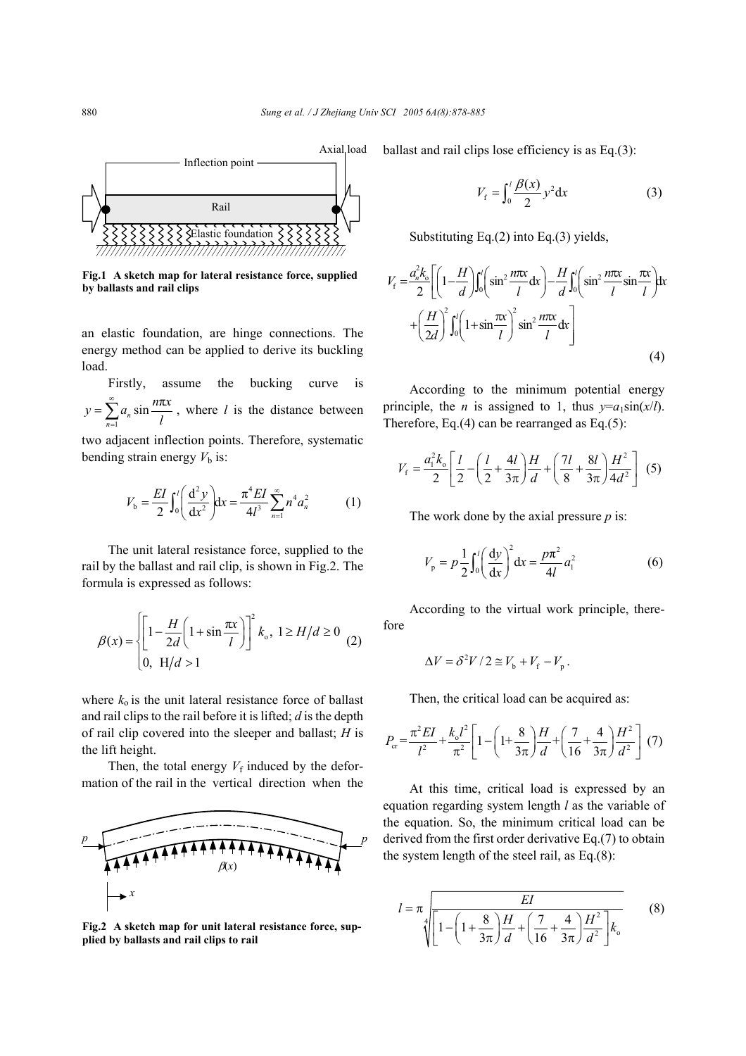

**Fig.1 A sketch map for lateral resistance force, supplied by ballasts and rail clips** 

an elastic foundation, are hinge connections. The energy method can be applied to derive its buckling load.

Firstly, assume the bucking curve is  $\sum_{n=1}^{\infty} a_n \sin \frac{n\pi}{l}$  $y = \sum_{n=1}^{\infty} a_n \sin \frac{n\pi x}{l}$  $=\sum_{n=1}^{\infty} a_n \sin \frac{n\pi x}{l}$ , where *l* is the distance between two adjacent inflection points. Therefore, systematic

bending strain energy  $V<sub>b</sub>$  is:

$$
V_{b} = \frac{EI}{2} \int_{0}^{l} \left( \frac{d^{2} y}{dx^{2}} \right) dx = \frac{\pi^{4} EI}{4l^{3}} \sum_{n=1}^{\infty} n^{4} a_{n}^{2}
$$
 (1)

The unit lateral resistance force, supplied to the rail by the ballast and rail clip, is shown in Fig.2. The formula is expressed as follows:

$$
\beta(x) = \left\{ \left[ 1 - \frac{H}{2d} \left( 1 + \sin \frac{\pi x}{l} \right) \right]^2 k_0, \ 1 \ge H/d \ge 0 \right\}
$$
\n(2)

\n(3)

where  $k_0$  is the unit lateral resistance force of ballast and rail clips to the rail before it is lifted; *d* is the depth of rail clip covered into the sleeper and ballast; *H* is the lift height.

Then, the total energy  $V_f$  induced by the deformation of the rail in the vertical direction when the



**Fig.2 A sketch map for unit lateral resistance force, supplied by ballasts and rail clips to rail** 

ballast and rail clips lose efficiency is as Eq.(3):

$$
V_{\rm f} = \int_0^l \frac{\beta(x)}{2} y^2 dx
$$
 (3)

Substituting Eq.(2) into Eq.(3) yields,

$$
V_{\rm f} = \frac{a_n^2 k_o}{2} \left[ \left( 1 - \frac{H}{d} \right) \int_0^l \left( \sin^2 \frac{n\pi x}{l} dx \right) - \frac{H}{d} \int_0^l \left( \sin^2 \frac{n\pi x}{l} \sin \frac{\pi x}{l} \right) dx \right]
$$

$$
+ \left( \frac{H}{2d} \right)^2 \int_0^l \left( 1 + \sin \frac{\pi x}{l} \right)^2 \sin^2 \frac{n\pi x}{l} dx \right]
$$
(4)

According to the minimum potential energy principle, the *n* is assigned to 1, thus  $y=a_1\sin(x/l)$ . Therefore, Eq.(4) can be rearranged as Eq.(5):

$$
V_{\rm f} = \frac{a_{\rm i}^2 k_{\rm o}}{2} \left[ \frac{l}{2} - \left( \frac{l}{2} + \frac{4l}{3\pi} \right) \frac{H}{d} + \left( \frac{7l}{8} + \frac{8l}{3\pi} \right) \frac{H^2}{4d^2} \right] \tag{5}
$$

The work done by the axial pressure *p* is:

$$
V_{\rm p} = p \frac{1}{2} \int_0^l \left(\frac{\mathrm{d}y}{\mathrm{d}x}\right)^2 \mathrm{d}x = \frac{p\pi^2}{4l} a_l^2 \tag{6}
$$

According to the virtual work principle, therefore

$$
\Delta V = \delta^2 V / 2 \approx V_{\rm b} + V_{\rm f} - V_{\rm p}.
$$

Then, the critical load can be acquired as:

$$
P_{\rm cr} = \frac{\pi^2 EI}{l^2} + \frac{k_o l^2}{\pi^2} \left[ 1 - \left( 1 + \frac{8}{3\pi} \right) \frac{H}{d} + \left( \frac{7}{16} + \frac{4}{3\pi} \right) \frac{H^2}{d^2} \right] (7)
$$

At this time, critical load is expressed by an equation regarding system length *l* as the variable of the equation. So, the minimum critical load can be derived from the first order derivative Eq.(7) to obtain the system length of the steel rail, as Eq.(8):

$$
l = \pi \sqrt{\frac{EI}{1 - \left(1 + \frac{8}{3\pi}\right)\frac{H}{d} + \left(\frac{7}{16} + \frac{4}{3\pi}\right)\frac{H^2}{d^2}}}\n\tag{8}
$$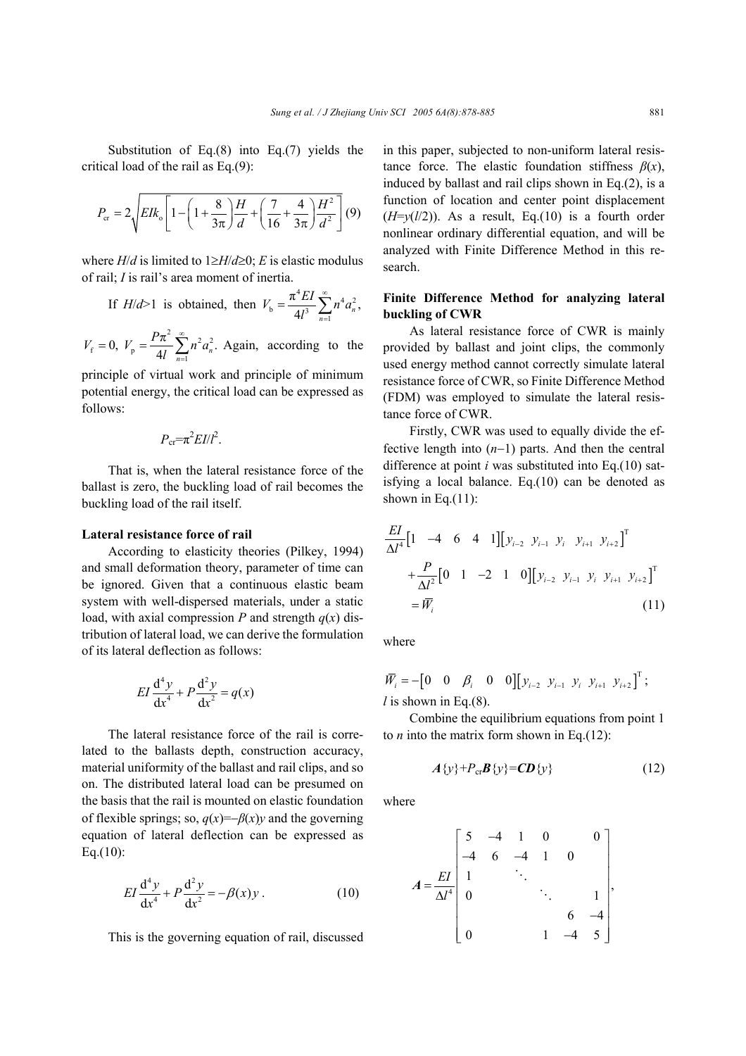Substitution of Eq.(8) into Eq.(7) yields the critical load of the rail as Eq.(9):

$$
P_{\rm cr} = 2\sqrt{E I k_{\rm o} \left[1 - \left(1 + \frac{8}{3\pi}\right) \frac{H}{d} + \left(\frac{7}{16} + \frac{4}{3\pi}\right) \frac{H^2}{d^2}\right]} (9)
$$

where  $H/d$  is limited to  $1 \geq H/d \geq 0$ ; *E* is elastic modulus of rail; *I* is rail's area moment of inertia.

If 
$$
H/d>1
$$
 is obtained, then  $V_b = \frac{\pi^4 EI}{4l^3} \sum_{n=1}^{\infty} n^4 a_n^2$ ,

 $V_{\rm p} = \frac{P\pi^2}{4l} \sum_{n=1}^{\infty} n^2 a_n^2.$  $V_{\rm f} = 0$ ,  $V_{\rm p} = \frac{P\pi^2}{H} \sum_{n=1}^{\infty} n^2 a$ *l* ∞  $= 0$ ,  $V_p = \frac{P\pi^2}{4l} \sum_{n=1}^{\infty} n^2 a_n^2$ . Again, according to the

principle of virtual work and principle of minimum potential energy, the critical load can be expressed as follows:

$$
P_{\rm cr} = \pi^2 EI/l^2.
$$

That is, when the lateral resistance force of the ballast is zero, the buckling load of rail becomes the buckling load of the rail itself.

#### **Lateral resistance force of rail**

According to elasticity theories (Pilkey, 1994) and small deformation theory, parameter of time can be ignored. Given that a continuous elastic beam system with well-dispersed materials, under a static load, with axial compression *P* and strength  $q(x)$  distribution of lateral load, we can derive the formulation of its lateral deflection as follows:

$$
EI\frac{d^4y}{dx^4} + P\frac{d^2y}{dx^2} = q(x)
$$

The lateral resistance force of the rail is correlated to the ballasts depth, construction accuracy, material uniformity of the ballast and rail clips, and so on. The distributed lateral load can be presumed on the basis that the rail is mounted on elastic foundation of flexible springs; so,  $q(x) = -\beta(x)y$  and the governing equation of lateral deflection can be expressed as Eq.(10):

$$
EI\frac{d^4y}{dx^4} + P\frac{d^2y}{dx^2} = -\beta(x)y.
$$
 (10)

This is the governing equation of rail, discussed

in this paper, subjected to non-uniform lateral resistance force. The elastic foundation stiffness  $\beta(x)$ , induced by ballast and rail clips shown in Eq.(2), is a function of location and center point displacement  $(H=v(l/2))$ . As a result, Eq.(10) is a fourth order nonlinear ordinary differential equation, and will be analyzed with Finite Difference Method in this research.

# **Finite Difference Method for analyzing lateral buckling of CWR**

As lateral resistance force of CWR is mainly provided by ballast and joint clips, the commonly used energy method cannot correctly simulate lateral resistance force of CWR, so Finite Difference Method (FDM) was employed to simulate the lateral resistance force of CWR.

Firstly, CWR was used to equally divide the effective length into (*n*−1) parts. And then the central difference at point *i* was substituted into Eq.(10) satisfying a local balance. Eq.(10) can be denoted as shown in Eq. $(11)$ :

$$
\frac{EI}{\Delta l^4} \begin{bmatrix} 1 & -4 & 6 & 4 & 1 \end{bmatrix} \begin{bmatrix} y_{i-2} & y_{i-1} & y_i & y_{i+1} & y_{i+2} \end{bmatrix}^T
$$
  
+ 
$$
\frac{P}{\Delta l^2} \begin{bmatrix} 0 & 1 & -2 & 1 & 0 \end{bmatrix} \begin{bmatrix} y_{i-2} & y_{i-1} & y_i & y_{i+1} & y_{i+2} \end{bmatrix}^T
$$
  
= 
$$
\overline{W}_i
$$
 (11)

where

$$
\overline{W}_i = -\begin{bmatrix} 0 & 0 & \beta_i & 0 & 0 \end{bmatrix} \begin{bmatrix} y_{i-2} & y_{i-1} & y_i & y_{i+1} & y_{i+2} \end{bmatrix}^T;
$$
  
*l* is shown in Eq.(8).

Combine the equilibrium equations from point 1 to  $n$  into the matrix form shown in Eq.(12):

$$
A\{y\}+P_{\rm cr}\boldsymbol{B}\{y\}=\boldsymbol{CD}\{y\}\tag{12}
$$

where

$$
A = \frac{EI}{\Delta l^4} \begin{bmatrix} 5 & -4 & 1 & 0 & 0 \\ -4 & 6 & -4 & 1 & 0 \\ 1 & & \ddots & & \\ 0 & & & \ddots & 1 \\ 0 & & & & 6 & -4 \\ 0 & & & 1 & -4 & 5 \end{bmatrix},
$$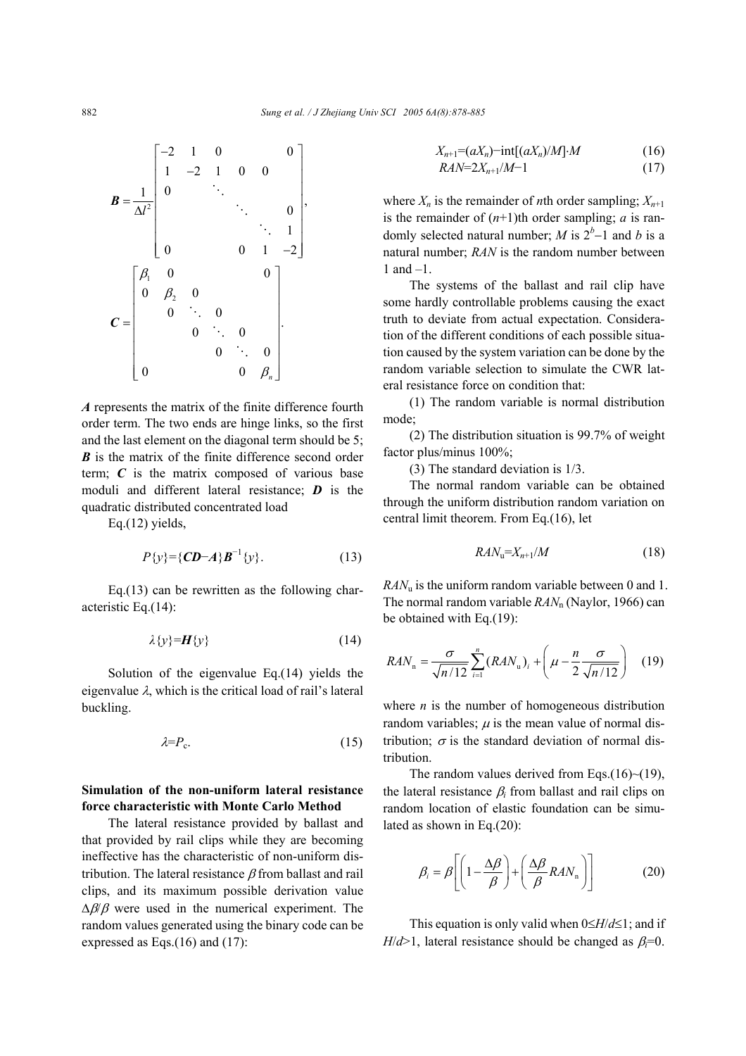

*A* represents the matrix of the finite difference fourth order term. The two ends are hinge links, so the first and the last element on the diagonal term should be 5; *B* is the matrix of the finite difference second order term;  $C$  is the matrix composed of various base moduli and different lateral resistance; *D* is the quadratic distributed concentrated load

Eq.(12) yields,

$$
P\{y\} = \{CD - A\}B^{-1}\{y\}.
$$
 (13)

Eq.(13) can be rewritten as the following characteristic Eq.(14):

$$
\lambda\{y\} = H\{y\} \tag{14}
$$

Solution of the eigenvalue Eq.(14) yields the eigenvalue  $\lambda$ , which is the critical load of rail's lateral buckling.

$$
\lambda = P_{\rm c}.\tag{15}
$$

# **Simulation of the non-uniform lateral resistance force characteristic with Monte Carlo Method**

The lateral resistance provided by ballast and that provided by rail clips while they are becoming ineffective has the characteristic of non-uniform distribution. The lateral resistance  $\beta$  from ballast and rail clips, and its maximum possible derivation value  $\Delta\beta/\beta$  were used in the numerical experiment. The random values generated using the binary code can be expressed as Eqs.(16) and (17):

$$
X_{n+1} = (aX_n) - \text{int}[(aX_n)/M] \cdot M \tag{16}
$$
  
\n
$$
RAN = 2X_{n+1}/M - 1 \tag{17}
$$

where  $X_n$  is the remainder of *n*th order sampling;  $X_{n+1}$ is the remainder of  $(n+1)$ th order sampling; *a* is randomly selected natural number; *M* is  $2<sup>b</sup>$ -1 and *b* is a natural number; *RAN* is the random number between 1 and –1.

The systems of the ballast and rail clip have some hardly controllable problems causing the exact truth to deviate from actual expectation. Consideration of the different conditions of each possible situation caused by the system variation can be done by the random variable selection to simulate the CWR lateral resistance force on condition that:

(1) The random variable is normal distribution mode;

(2) The distribution situation is 99.7% of weight factor plus/minus 100%;

(3) The standard deviation is 1/3.

The normal random variable can be obtained through the uniform distribution random variation on central limit theorem. From Eq.(16), let

$$
RAN_{\mathbf{u}}=X_{n+1}/M\tag{18}
$$

*RAN*u is the uniform random variable between 0 and 1. The normal random variable *RAN*n (Naylor, 1966) can be obtained with Eq.(19):

$$
RAN_{n} = \frac{\sigma}{\sqrt{n/12}} \sum_{i=1}^{n} (RAN_{u})_{i} + \left(\mu - \frac{n}{2} \frac{\sigma}{\sqrt{n/12}}\right) \quad (19)
$$

where  $n$  is the number of homogeneous distribution random variables;  $\mu$  is the mean value of normal distribution:  $\sigma$  is the standard deviation of normal distribution.

The random values derived from Eqs.(16) $\sim$ (19), the lateral resistance β*i* from ballast and rail clips on random location of elastic foundation can be simulated as shown in Eq.(20):

$$
\beta_i = \beta \left[ \left( 1 - \frac{\Delta \beta}{\beta} \right) + \left( \frac{\Delta \beta}{\beta} R A N_n \right) \right]
$$
 (20)

This equation is only valid when 0≤*H*/*d*≤1; and if *H*/ $d$ >1, lateral resistance should be changed as  $\beta_i=0$ .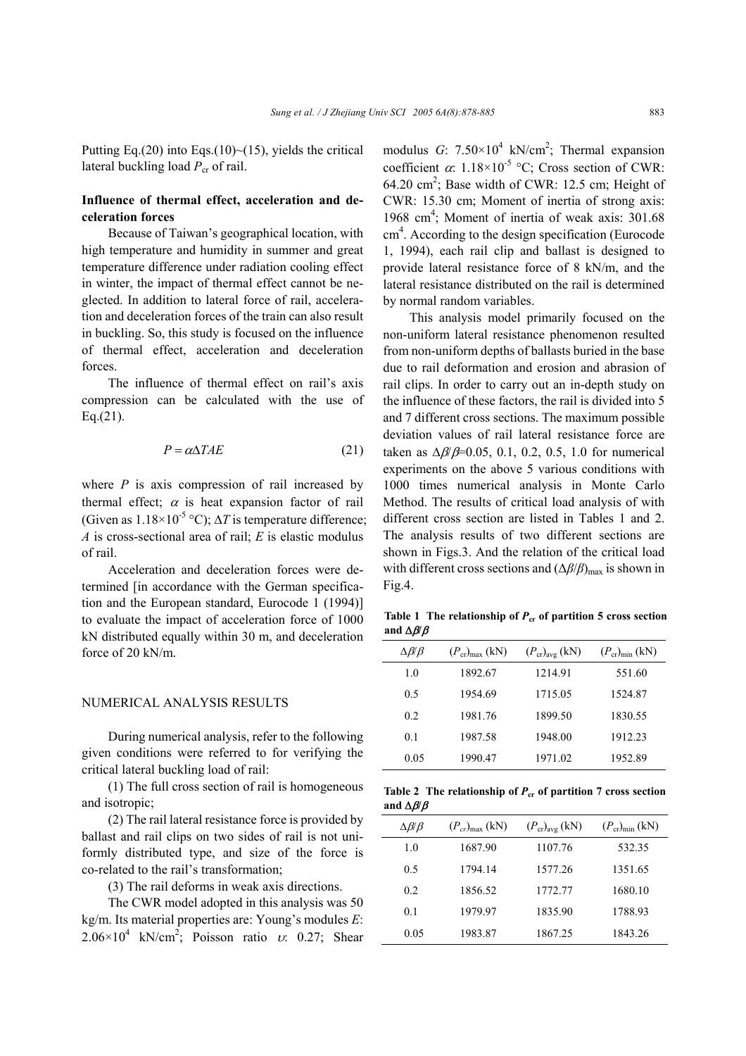Putting Eq.(20) into Eqs.(10) $\sim$ (15), yields the critical lateral buckling load  $P_{cr}$  of rail.

# **Influence of thermal effect, acceleration and deceleration forces**

Because of Taiwan's geographical location, with high temperature and humidity in summer and great temperature difference under radiation cooling effect in winter, the impact of thermal effect cannot be neglected. In addition to lateral force of rail, acceleration and deceleration forces of the train can also result in buckling. So, this study is focused on the influence of thermal effect, acceleration and deceleration forces.

The influence of thermal effect on rail's axis compression can be calculated with the use of  $Eq.(21)$ .

$$
P = \alpha \Delta T A E \tag{21}
$$

where  $P$  is axis compression of rail increased by thermal effect;  $\alpha$  is heat expansion factor of rail (Given as  $1.18\times10^{-5}$  °C);  $\Delta T$  is temperature difference; *A* is cross-sectional area of rail; *E* is elastic modulus of rail.

Acceleration and deceleration forces were determined [in accordance with the German specification and the European standard, Eurocode 1 (1994)] to evaluate the impact of acceleration force of 1000 kN distributed equally within 30 m, and deceleration force of 20 kN/m.

## NUMERICAL ANALYSIS RESULTS

During numerical analysis, refer to the following given conditions were referred to for verifying the critical lateral buckling load of rail:

(1) The full cross section of rail is homogeneous and isotropic;

(2) The rail lateral resistance force is provided by ballast and rail clips on two sides of rail is not uniformly distributed type, and size of the force is co-related to the rail's transformation;

(3) The rail deforms in weak axis directions.

The CWR model adopted in this analysis was 50 kg/m. Its material properties are: Young's modules *E*:  $2.06 \times 10^4$  kN/cm<sup>2</sup>; Poisson ratio *v*: 0.27; Shear

modulus  $G: 7.50 \times 10^4$  kN/cm<sup>2</sup>; Thermal expansion coefficient  $\alpha$ : 1.18×10<sup>-5</sup> °C; Cross section of CWR: 64.20  $\text{cm}^2$ ; Base width of CWR: 12.5 cm; Height of CWR: 15.30 cm; Moment of inertia of strong axis: 1968 cm<sup>4</sup>; Moment of inertia of weak axis: 301.68 cm 4 . According to the design specification (Eurocode 1, 1994), each rail clip and ballast is designed to provide lateral resistance force of 8 kN/m, and the lateral resistance distributed on the rail is determined by normal random variables.

This analysis model primarily focused on the non-uniform lateral resistance phenomenon resulted from non-uniform depths of ballasts buried in the base due to rail deformation and erosion and abrasion of rail clips. In order to carry out an in-depth study on the influence of these factors, the rail is divided into 5 and 7 different cross sections. The maximum possible deviation values of rail lateral resistance force are taken as  $\Delta \beta / \beta = 0.05, 0.1, 0.2, 0.5, 1.0$  for numerical experiments on the above 5 various conditions with 1000 times numerical analysis in Monte Carlo Method. The results of critical load analysis of with different cross section are listed in Tables 1 and 2. The analysis results of two different sections are shown in Figs.3. And the relation of the critical load with different cross sections and  $(Δβ/β)_{max}$  is shown in Fig.4.

Table 1 The relationship of  $P_{cr}$  of partition 5 cross section **and** ∆β**/**β

| $\Delta \beta/\beta$ | $(P_{cr})_{max}$ (kN) | $(P_{cr})_{avg}$ (kN) | $(P_{cr})_{\text{min}}$ (kN) |
|----------------------|-----------------------|-----------------------|------------------------------|
| 1.0                  | 1892.67               | 1214.91               | 551.60                       |
| 0.5                  | 1954.69               | 1715.05               | 1524.87                      |
| 02                   | 1981.76               | 1899.50               | 1830.55                      |
| 0 <sub>1</sub>       | 1987.58               | 1948.00               | 1912.23                      |
| 0.05                 | 1990.47               | 1971.02               | 1952.89                      |

Table 2 The relationship of  $P_{cr}$  of partition 7 cross section **and** ∆β**/**β

| $\Delta \mathcal{B}\!/\mathcal{B}$ | $(P_{cr})_{\text{max}}$ (kN) | $(P_{cr})_{avg}$ (kN) | $(P_{cr})_{\text{min}}$ (kN) |
|------------------------------------|------------------------------|-----------------------|------------------------------|
| 1.0                                | 1687.90                      | 1107.76               | 532.35                       |
| 0.5                                | 1794.14                      | 1577.26               | 1351.65                      |
| 0.2                                | 1856.52                      | 1772.77               | 1680.10                      |
| 0 <sub>1</sub>                     | 1979.97                      | 1835.90               | 1788.93                      |
| 0.05                               | 1983.87                      | 1867.25               | 1843.26                      |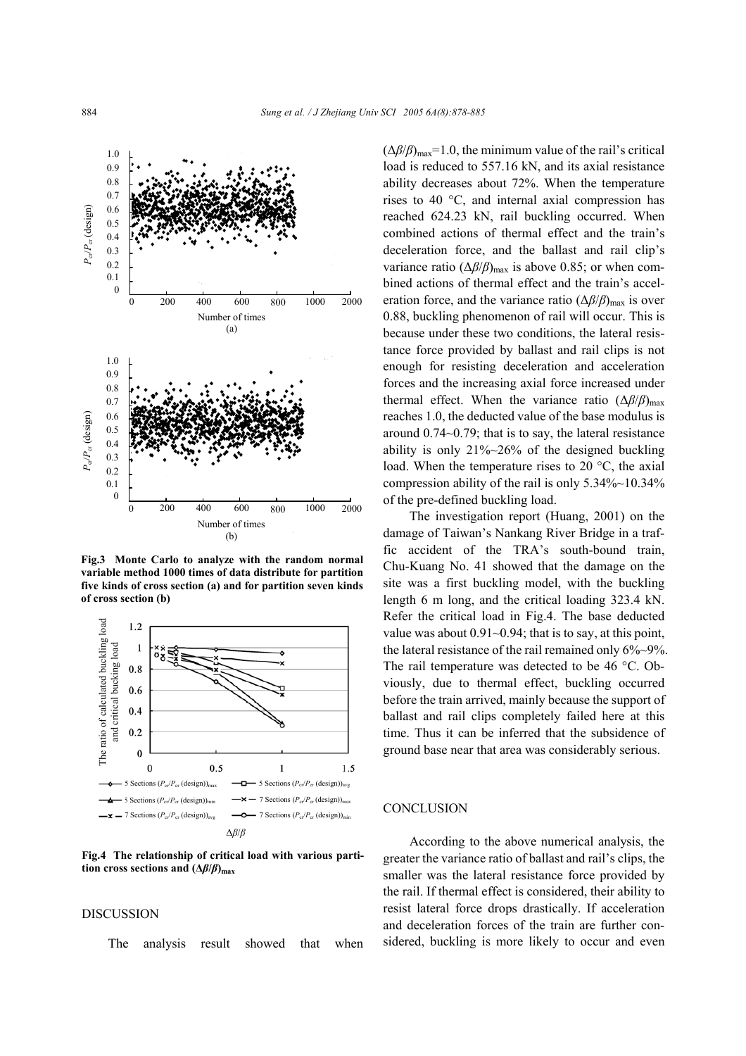

**Fig.3 Monte Carlo to analyze with the random normal variable method 1000 times of data distribute for partition five kinds of cross section (a) and for partition seven kinds of cross section (b)**



**Fig.4 The relationship of critical load with various partition cross sections and**  $(\Delta \beta/\beta)_{\text{max}}$ 

## DISCUSSION

The analysis result showed that when

 $(\Delta \beta/\beta)_{\text{max}}$ =1.0, the minimum value of the rail's critical load is reduced to 557.16 kN, and its axial resistance ability decreases about 72%. When the temperature rises to 40 °C, and internal axial compression has reached 624.23 kN, rail buckling occurred. When combined actions of thermal effect and the train's deceleration force, and the ballast and rail clip's variance ratio  $(\Delta \beta/\beta)_{\text{max}}$  is above 0.85; or when combined actions of thermal effect and the train's acceleration force, and the variance ratio ( $\Delta \beta/\beta$ )<sub>max</sub> is over 0.88, buckling phenomenon of rail will occur. This is because under these two conditions, the lateral resistance force provided by ballast and rail clips is not enough for resisting deceleration and acceleration forces and the increasing axial force increased under thermal effect. When the variance ratio  $(\Delta \beta/\beta)_{\text{max}}$ reaches 1.0, the deducted value of the base modulus is around 0.74~0.79; that is to say, the lateral resistance ability is only  $21\%~26\%$  of the designed buckling load. When the temperature rises to 20 °C, the axial compression ability of the rail is only 5.34%~10.34% of the pre-defined buckling load.

The investigation report (Huang, 2001) on the damage of Taiwan's Nankang River Bridge in a traffic accident of the TRA's south-bound train, Chu-Kuang No. 41 showed that the damage on the site was a first buckling model, with the buckling length 6 m long, and the critical loading 323.4 kN. Refer the critical load in Fig.4. The base deducted value was about  $0.91 \sim 0.94$ ; that is to say, at this point, the lateral resistance of the rail remained only 6%~9%. The rail temperature was detected to be 46 °C. Obviously, due to thermal effect, buckling occurred before the train arrived, mainly because the support of ballast and rail clips completely failed here at this time. Thus it can be inferred that the subsidence of ground base near that area was considerably serious.

## **CONCLUSION**

According to the above numerical analysis, the greater the variance ratio of ballast and rail's clips, the smaller was the lateral resistance force provided by the rail. If thermal effect is considered, their ability to resist lateral force drops drastically. If acceleration and deceleration forces of the train are further considered, buckling is more likely to occur and even